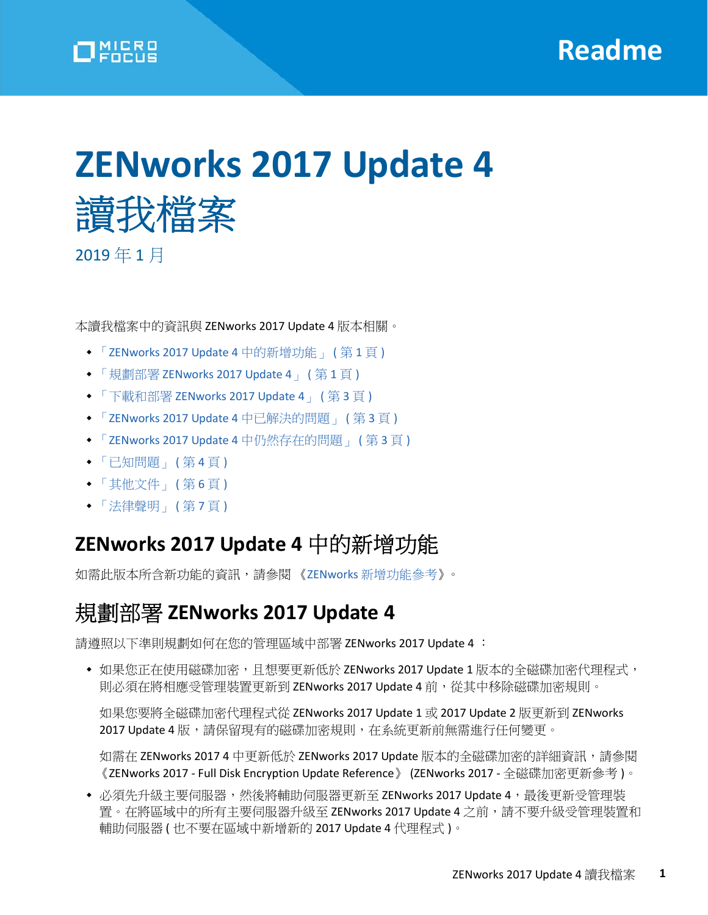# **ZENworks 2017 Update 4**  讀我檔案

2019 年 1 月

本讀我檔案中的資訊與 ZENworks 2017 Update 4 版本相關。

- 「[ZENworks 2017 Update 4](#page-0-0) 中的新增功能」 ( 第 1 頁 )
- 「規劃部署 [ZENworks 2017 Update 4](#page-0-1)」 ( 第 1 頁 )
- 「下載和部署 [ZENworks 2017 Update 4](#page-2-0)」 ( 第 3 頁 )
- 「[ZENworks 2017 Update 4](#page-2-1) 中已解決的問題」 ( 第 3 頁 )
- 「[ZENworks 2017 Update 4](#page-2-2) 中仍然存在的問題」 ( 第 3 頁 )
- [「已知問題」](#page-3-0) ( 第 4 頁 )
- [「其他文件」](#page-5-0) ( 第 6 頁 )
- ◆ [「法律聲明」](#page-6-0) (第7頁)

# <span id="page-0-0"></span>**ZENworks 2017 Update 4** 中的新增功能

如需此版本所含新功能的資訊,請參閱 《ZENworks [新增功能參考](https://www.novell.com/documentation/zenworks-2017-update-4/zen_whats_new/data/bookinfo.html)》。

# <span id="page-0-1"></span>規劃部署 **ZENworks 2017 Update 4**

請遵照以下準則規劃如何在您的管理區域中部署 ZENworks 2017 Update 4 ︰

◆ 如果您正在使用磁碟加密,且想要更新低於 ZENworks 2017 Update 1 版本的全磁碟加密代理程式, 則必須在將相應受管理裝置更新到 ZENworks 2017 Update 4 前,從其中移除磁碟加密規則。

如果您要將全磁碟加密代理程式從 ZENworks 2017 Update 1 或 2017 Update 2 版更新到 ZENworks 2017 Update 4 版,請保留現有的磁碟加密規則,在系統更新前無需進行任何變更。

如需在 ZENworks 2017 4 中更新低於 ZENworks 2017 Update 版本的全磁碟加密的詳細資訊,請參閱 《ZENworks 2017 - Full Disk Encryption Update Reference》 (ZENworks 2017 - 全磁碟加密更新參考 )。

◆ 必須先升級主要伺服器,然後將輔助伺服器更新至 ZENworks 2017 Update 4,最後更新受管理裝 置。在將區域中的所有主要伺服器升級至 ZENworks 2017 Update 4 之前,請不要升級受管理裝置和 輔助伺服器 ( 也不要在區域中新增新的 2017 Update 4 代理程式 )。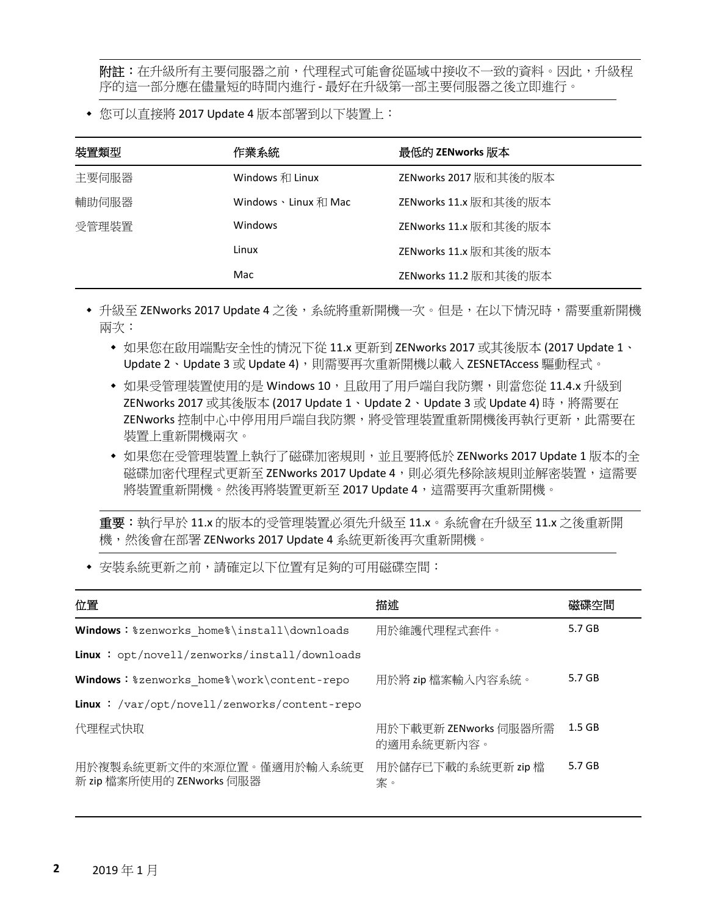**附註:**在升级所有主要伺服器之前,代理程式可能會從區域中接收不一致的資料。因此,升級程 序的這一部分應在儘量短的時間內進行 - 最好在升級第一部主要伺服器之後立即進行。

您可以直接將 2017 Update 4 版本部署到以下裝置上︰

| 裝置類型  | 作業系統                                | 最低的 ZENworks 版本       |
|-------|-------------------------------------|-----------------------|
| 主要伺服器 | Windows 和 Linux                     | ZENworks 2017 版和其後的版本 |
| 輔助伺服器 | Windows $\cdot$ Linux $\bar{x}$ Mac | ZENworks 11.x 版和其後的版本 |
| 受管理裝置 | Windows                             | ZENworks 11.x 版和其後的版本 |
|       | Linux                               | ZENworks 11.x 版和其後的版本 |
|       | Mac                                 | ZENworks 11.2 版和其後的版本 |

◆ 升級至 ZENworks 2017 Update 4 之後,系統將重新開機一次。但是,在以下情況時,需要重新開機 兩次:

- 如果您在啟用端點安全性的情況下從 11.x 更新到 ZENworks 2017 或其後版本 (2017 Update 1、 Update 2、Update 3 或 Update 4),則需要再次重新開機以載入 ZESNETAccess 驅動程式。
- 如果受管理裝置使用的是 Windows 10, 且啟用了用戶端自我防禦,則當您從 11.4.x 升級到 ZENworks 2017 或其後版本 (2017 Update 1、Update 2、Update 3 或 Update 4) 時,將需要在 ZENworks 控制中心中停用用戶端自我防禦,將受管理裝置重新開機後再執行更新,此需要在 裝置上重新開機兩次。
- ◆ 如果您在受管理裝置上執行了磁碟加密規則,並且要將低於 ZENworks 2017 Update 1 版本的全 磁碟加密代理程式更新至 ZENworks 2017 Update 4,則必須先移除該規則並解密裝置,這需要 將裝置重新開機。然後再將裝置更新至 2017 Update 4,這需要再次重新開機。

重要:執行早於 11.x 的版本的受管理裝置必須先升級至 11.x。系統會在升級至 11.x 之後重新開 機,然後會在部署 ZENworks 2017 Update 4 系統更新後再次重新開機。

• 安裝系統更新之前,請確定以下位置有足夠的可用磁碟空間:

| 位置                                                     | 描述                                  | 磁碟空間     |
|--------------------------------------------------------|-------------------------------------|----------|
| Windows: %zenworks home%\install\downloads             | 用於維護代理程式套件。                         | 5.7 GB   |
| <b>Linux</b> : $opt/novell/zenworks/install/downloads$ |                                     |          |
| Windows: %zenworks home%\work\content-repo             | 用於將 zip 檔案輸入內容系統。                   | 5.7 GB   |
| <b>Linux</b> : /var/opt/novell/zenworks/content-repo   |                                     |          |
| 代理程式快取                                                 | 用於下載更新 ZENworks 伺服器所需<br>的適用系統更新內容。 | $1.5$ GB |
| 用於複製系統更新文件的來源位置。僅適用於輸入系統更<br>新 zip 檔案所使用的 ZENworks 伺服器 | 用於儲存已下載的系統更新 zip 檔<br>案。            | 5.7 GB   |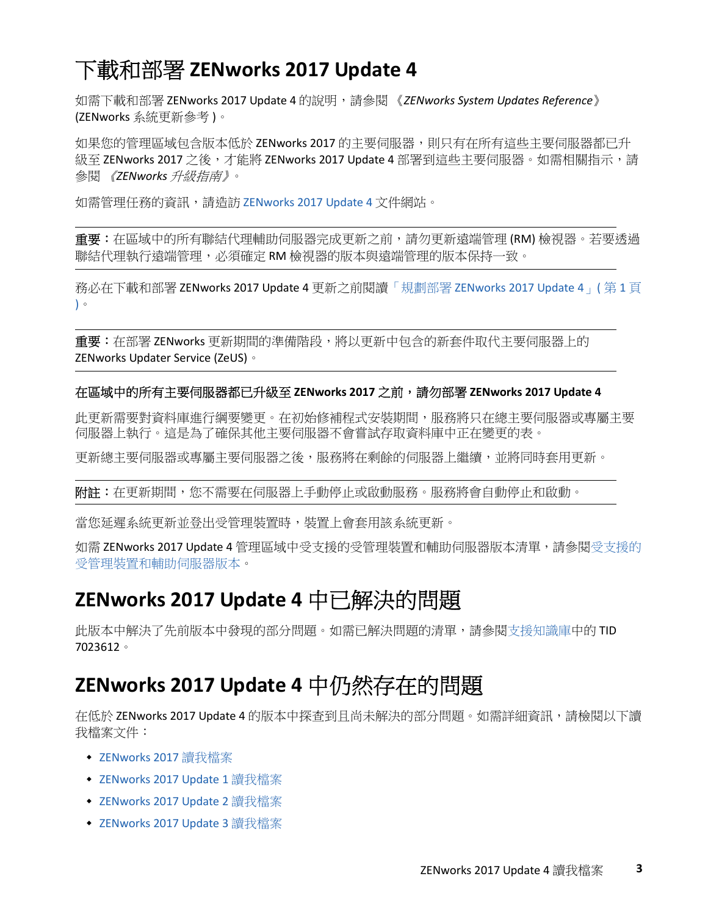# <span id="page-2-0"></span>下載和部署 **ZENworks 2017 Update 4**

如需下載和部署 ZENworks 2017 Update 4 的說明,請參閱 《*ZENworks System Updates Reference*》 (ZENworks 系統更新參考 )。

如果您的管理區域包含版本低於 ZENworks 2017 的主要伺服器,則只有在所有這些主要伺服器都已升 級至 ZENworks 2017 之後,才能將 ZENworks 2017 Update 4 部署到這些主要伺服器。如需相關指示,請 參閱 《*ZENworks* 升級指南》。

如需管理任務的資訊,請造訪 [ZENworks 2017 Update 4](https://www.novell.com/documentation/zenworks-2017-update-4/) 文件網站。

重要:在區域中的所有聯結代理輔助伺服器完成更新之前,請勿更新遠端管理 (RM) 檢視器。若要透過 聯結代理執行遠端管理,必須確定 RM 檢視器的版本與遠端管理的版本保持一致。

務必在下載和部署 ZENworks 2017 Update 4 更新之前閱讀「規劃部署 [ZENworks 2017 Update 4](#page-0-1)」( 第 1 頁 [\)](#page-0-1)。

**重要:**在部署 ZENworks 更新期間的準備階段,將以更新中包含的新套件取代主要伺服器上的 ZENworks Updater Service (ZeUS)。

#### 在區域中的所有主要伺服器都已升級至 **ZENworks 2017** 之前,請勿部署 **ZENworks 2017 Update 4**

此更新需要對資料庫進行綱要變更。在初始修補程式安裝期間,服務將只在總主要伺服器或專屬主要 伺服器上執行。這是為了確保其他主要伺服器不會嘗試存取資料庫中正在變更的表。

更新總主要伺服器主要伺服器之後,服務將在剩餘的伺服器上繼續,並將同時套用更新。

**附註:**在更新期間,您不需要在伺服器上手動停止或啟動服務。服務將會自動停止和啟動。

當您延遲系統更新並登出受管理裝置時,裝置上會套用該系統更新。

如需 ZENworks 2017 Update 4 管理區域中[受支援的](../../zen_satellite_version_support_matrix/data/zen_satellite_version_support_matrix.html)受管理裝置和輔助伺服器版本清單,請參閱受支援的 [受管理裝置和輔助伺服器版本](../../zen_satellite_version_support_matrix/data/zen_satellite_version_support_matrix.html)。

## <span id="page-2-1"></span>**ZENworks 2017 Update 4** 中已解決的問題

此版本中解決了先前版本中發現的部分問題。如需已解決問題的清單,請參閱[支援知識庫中](https://www.novell.com/support/kb/doc.php?id=7023612)的 TID 7023612。

## <span id="page-2-2"></span>**ZENworks 2017 Update 4** 中仍然存在的問題

在低於 ZENworks 2017 Update 4 的版本中探查到且尚未解決的部分問題。如需詳細資訊,請檢閱以下讀 我檔案文件:

- [ZENworks 2017](https://www.novell.com/documentation/zenworks2017/readme_zenworks2017/data/readme_zenworks2017.html) 讀我檔案
- [ZENworks 2017 Update 1](https://www.novell.com/documentation/zenworks-2017-update-1/readme_zenworks2017_update1/data/readme_zenworks2017_update1.html) 讀我檔案
- ◆ [ZENworks 2017 Update 2](https://www.novell.com/documentation/zenworks-2017-update-2/readme_zenworks2017_update2/data/readme_zenworks2017_update2.html) 讀我檔案
- ◆ [ZENworks 2017 Update 3](https://www.novell.com/documentation/zenworks-2017-update-3/readme_zenworks2017_update3/data/readme_zenworks2017_update3.html) 讀我檔案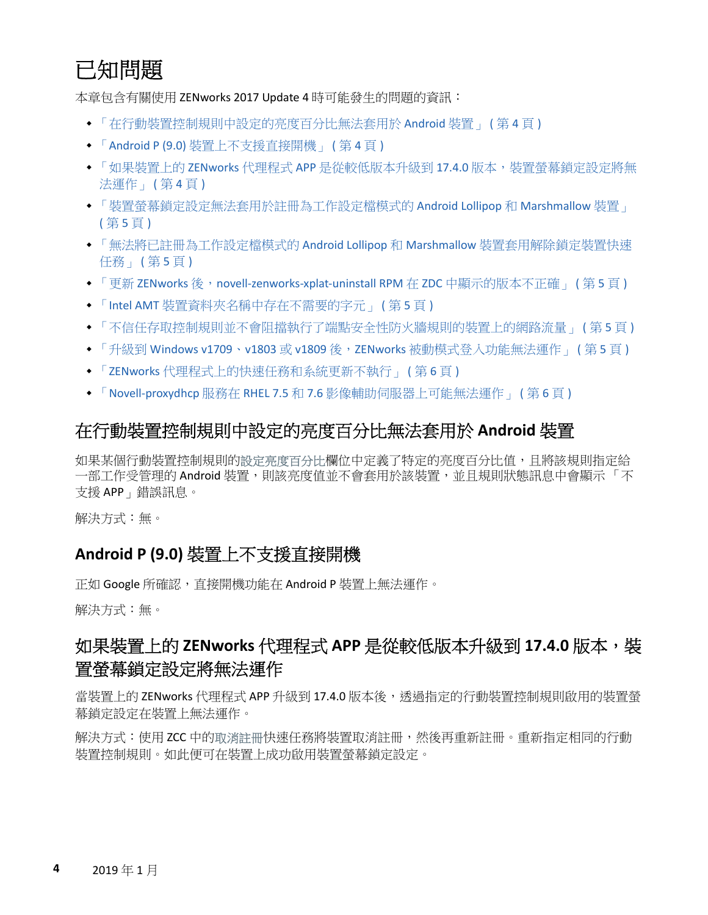# <span id="page-3-0"></span>已知問題

本章包含有關使用 ZENworks 2017 Update 4 時可能發生的問題的資訊:

- [「在行動裝置控制規則中設定的亮度百分比無法套用於](#page-3-1) Android 裝置」 ( 第 4 頁 )
- 「Android P (9.0) [裝置上不支援直接開機」](#page-3-2) ( 第 4 頁 )
- ◆ 「如果裝置上的 ZENworks 代理程式 APP 是從較低版本升級到 17.4.0 [版本,裝置螢幕鎖定設定將無](#page-3-3) [法運作」](#page-3-3) (第4頁)
- [「裝置螢幕鎖定設定無法套用於註冊為工作設定檔模式的](#page-4-0) Android Lollipop 和 Marshmallow 裝置」 ( 第 5 [頁](#page-4-0) )
- [「無法將已註冊為工作設定檔模式的](#page-4-1) Android Lollipop 和 Marshmallow 裝置套用解除鎖定裝置快速 [任務」](#page-4-1)(第5頁)
- ◆ 「更新 ZENworks 後, [novell-zenworks-xplat-uninstall RPM](#page-4-2) 在 ZDC 中顯示的版本不正確」 (第5頁)
- 「Intel AMT [裝置資料夾名稱中存在不需要的字元」](#page-4-3) ( 第 5 頁 )
- ◆ [「不信任存取控制規則並不會阻擋執行了端點安全性防火牆規則的裝置上的網路流量」](#page-4-4) (第5頁)
- ◆ 「升級到 Windows v1709、v1803 或 v1809 後, ZENworks [被動模式登入功能無法運作」](#page-4-5) ( 第 5 頁 )
- 「ZENworks [代理程式上的快速任務和系統更新不執行」](#page-5-1) ( 第 6 頁 )
- 「Novell-proxydhcp 服務在 RHEL 7.5 和 7.6 [影像輔助伺服器上可能無法運作」](#page-5-2) ( 第 6 頁 )

#### <span id="page-3-1"></span>在行動裝置控制規則中設定的亮度百分比無法套用於 **Android** 裝置

如果某個行動裝置控制規則的設定亮度百分比欄位中定義了特定的亮度百分比值,且將該規則指定給 一部工作受管理的 Android 裝置,則該亮度值並不會套用於該裝置,並且規則狀態訊息中會顯示 「 不 支援 APP」錯誤訊息。

解決方式︰無。

#### <span id="page-3-2"></span>**Android P (9.0)** 裝置上不支援直接開機

正如 Google 所確認,直接開機功能在 Android P 裝置上無法運作。

解決方式:無。

## <span id="page-3-3"></span>如果裝置上的 **ZENworks** 代理程式 **APP** 是從較低版本升級到 **17.4.0** 版本,裝 置螢幕鎖定設定將無法運作

當裝置上的 ZENworks 代理程式 APP 升級到 17.4.0 版本後,透過指定的行動裝置控制規則啟用的裝置螢 幕鎖定設定在裝置上無法運作。

解決方式:使用 ZCC 中的取消註冊快速任務將裝置取消註冊,然後再重新註冊。重新指定相同的行動 裝置控制規則。如此便可在裝置上成功啟用裝置螢幕鎖定設定。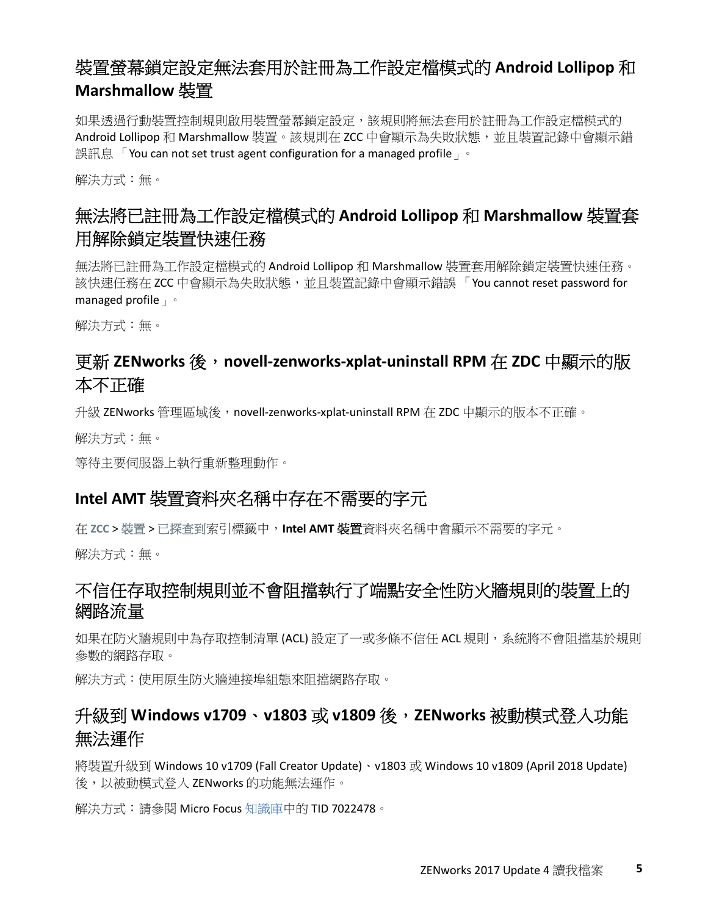## <span id="page-4-0"></span>裝置螢幕鎖定設定無法套用於註冊為工作設定檔模式的 **Android Lollipop** 和 **Marshmallow** 裝置

如果透過行動裝置控制規則啟用裝置螢幕鎖定設定,該規則將無法套用於註冊為工作設定檔模式的 Android Lollipop 和 Marshmallow 裝置。該規則在 ZCC 中會顯示為失敗狀態,並且裝置記錄中會顯示錯 誤訊息「You can not set trust agent configuration for a managed profile」。

解決方式︰無。

## <span id="page-4-1"></span>無法將已註冊為工作設定檔模式的 **Android Lollipop** 和 **Marshmallow** 裝置套 用解除鎖定裝置快速任務

無法將已註冊為工作設定檔模式的 Android Lollipop 和 Marshmallow 裝置套用解除鎖定裝置快速任務。 該快速任務在 ZCC 中會顯示為失敗狀態,並且裝置記錄中會顯示錯誤 「You cannot reset password for managed profile

解決方式:無。

#### <span id="page-4-2"></span>更新 **ZENworks** 後,**novell-zenworks-xplat-uninstall RPM** 在 **ZDC** 中顯示的版 本不正確

升級 ZENworks 管理區域後, novell-zenworks-xplat-uninstall RPM 在 ZDC 中顯示的版本不正確。

解決方式:無。

等待主要伺服器上執行重新整理動作。

#### <span id="page-4-3"></span>**Intel AMT** 裝置資料夾名稱中存在不需要的字元

在 **ZCC** > 裝置 > 已探查到索引標籤中,**Intel AMT** 裝置資料夾名稱中會顯示不需要的字元。

解決方式:無。

#### <span id="page-4-4"></span>不信任存取控制規則並不會阻擋執行了端點安全性防火牆規則的裝置上的 網路流量

如果在防火牆規則中為存取控制清單(ACL)設定了一或多條不信任 ACL 規則,系統將不會阻擋基於規則 參數的網路存取。

解決方式︰使用原生防火牆連接埠組態來阻擋網路存取。

## <span id="page-4-5"></span>升級到 **Windows v1709**、**v1803** 或 **v1809** 後,**ZENworks** 被動模式登入功能 無法運作

將裝置升級到 Windows 10 v1709 (Fall Creator Update)、v1803 或 Windows 10 v1809 (April 2018 Update) 後,以被動模式登入 ZENworks 的功能無法運作。

解決方式︰請參閱 Micro Focus [知識庫中](https://support.microfocus.com/kb/doc.php?id=7022478)的 TID 7022478。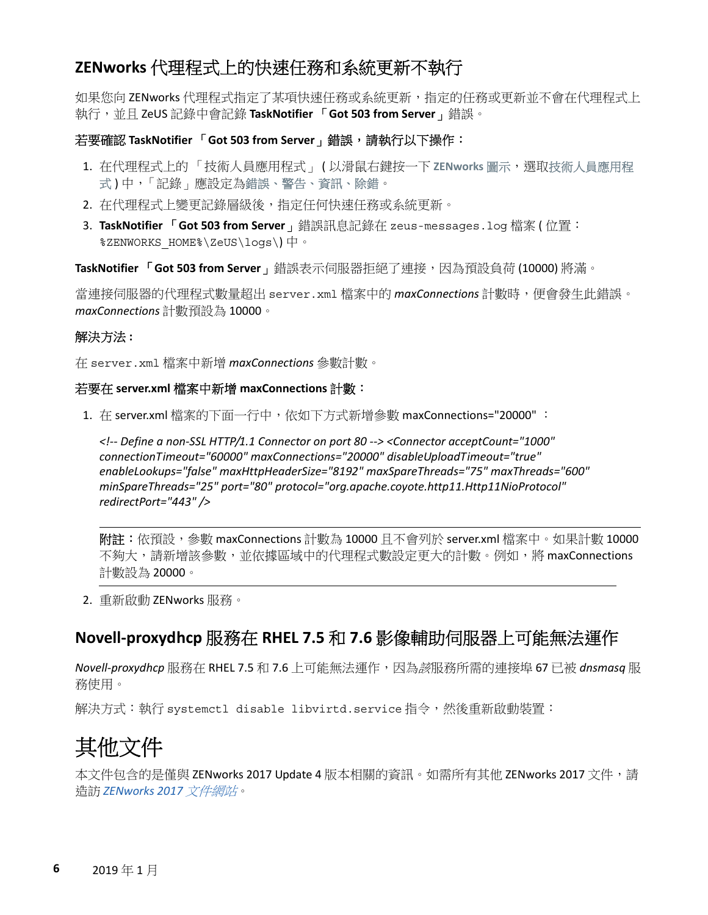#### <span id="page-5-1"></span>**ZENworks** 代理程式上的快速任務和系統更新不執行

如果您向 ZENworks 代理程式指定了某項快速任務或系統更新,指定的任務或更新並不會在代理程式上 執行,並且 ZeUS 記錄中會記錄 **TaskNotifier** 「**Got 503 from Server**」錯誤。

#### 若要確認 **TaskNotifier** 「**Got 503 from Server**」錯誤,請執行以下操作︰

- 1. 在代理程式上的 「技術人員應用程式」 ( 以滑鼠右鍵按一下 ZENworks 圖示, 選取技術人員應用程 式)中,「記錄」應設定為錯誤、警告、資訊、除錯。
- 2. 在代理程式上變更記錄層級後,指定任何快速任務或系統更新。
- 3. **TaskNotifier** 「**Got 503 from Server**」錯誤訊息記錄在 zeus-messages.log 檔案 ( 位置︰ %ZENWORKS\_HOME%\ZeUS\logs\) 中。

**TaskNotifier** 「**Got 503 from Server**」錯誤表示伺服器拒絕了連接,因為預設負荷 (10000) 將滿。

當連接伺服器的代理程式數量超出 server.xml 檔案中的 *maxConnections* 計數時,便會發生此錯誤。 *maxConnections* 計數預設為 10000。

#### 解決方法 **:**

在 server.xml 檔案中新增 *maxConnections* 參數計數。

#### 若要在 **server.xml** 檔案中新增 **maxConnections** 計數︰

1. 在 server.xml 檔案的下面一行中,依如下方式新增參數 maxConnections="20000" ︰

*<!-- Define a non-SSL HTTP/1.1 Connector on port 80 --> <Connector acceptCount="1000" connectionTimeout="60000" maxConnections="20000" disableUploadTimeout="true" enableLookups="false" maxHttpHeaderSize="8192" maxSpareThreads="75" maxThreads="600" minSpareThreads="25" port="80" protocol="org.apache.coyote.http11.Http11NioProtocol" redirectPort="443" />*

附註:依預設,參數 maxConnections 計數為 10000 且不會列於 server.xml 檔案中。如果計數 10000 不夠大,請新增該參數,並依據區域中的代理程式數設定更大的計數。例如,將 maxConnections 計數設為 20000。

2. 重新啟動 ZENworks 服務。

#### <span id="page-5-2"></span>**Novell-proxydhcp** 服務在 **RHEL 7.5** 和 **7.6** 影像輔助伺服器上可能無法運作

*Novell-proxydhcp* 服務在 RHEL 7.5 和 7.6 上可能無法運作,因為該服務所需的連接埠 67 已被 *dnsmasq* 服 務使用。

解決方式:執行 systemctl disable libvirtd.service指令,然後重新啟動裝置:

# <span id="page-5-0"></span>其他文件

本文件包含的是僅與 ZENworks 2017 Update 4 版本相關的資訊。如需所有其他 ZENworks 2017 文件,請 造訪 *[ZENworks 2017](https://www.novell.com/documentation/zenworks2017/)* 文件網站。